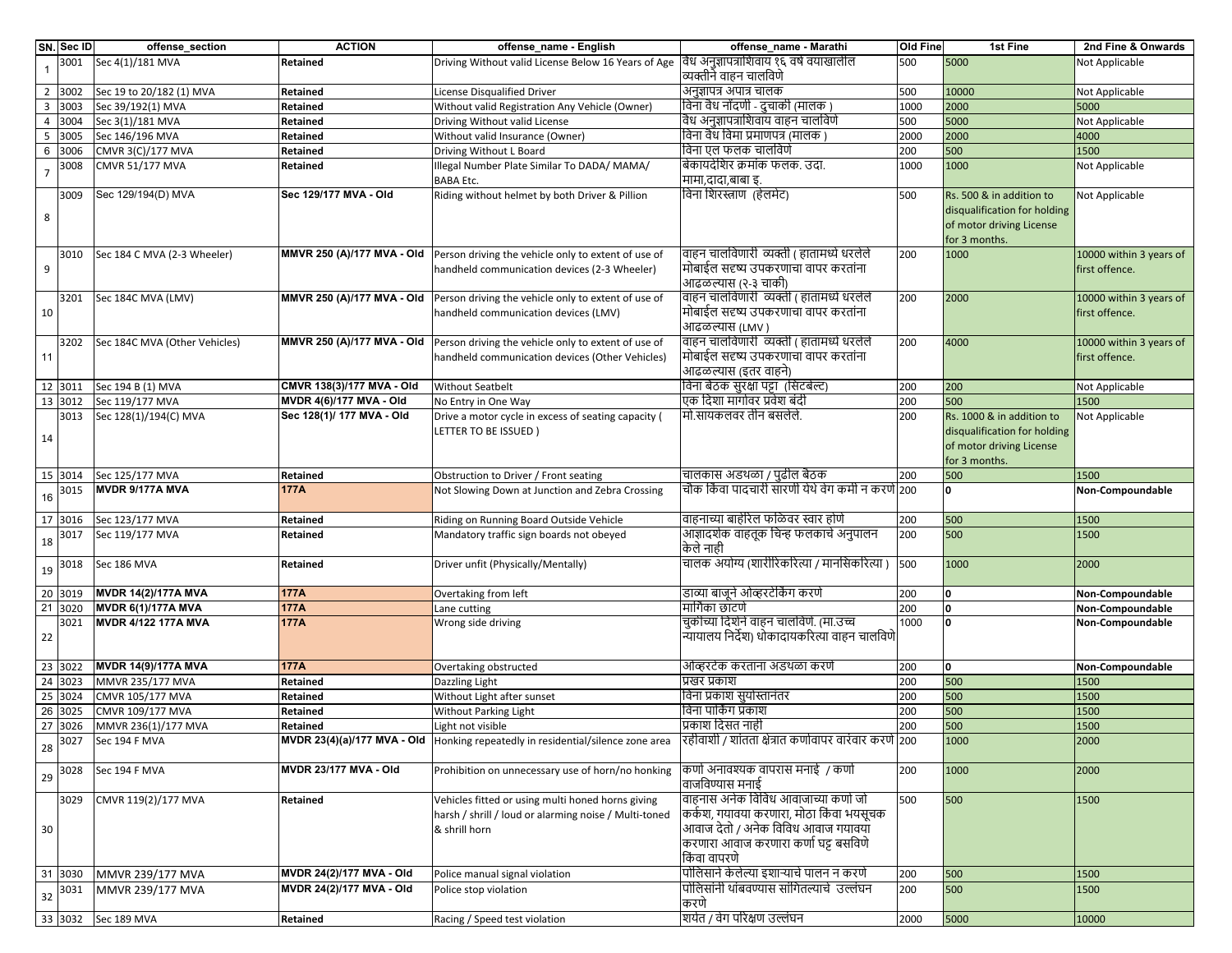|                | SN. Sec ID | offense_section                      | <b>ACTION</b>                     | offense_name - English                                                                                                            | offense_name - Marathi                                           | Old Fine | 1st Fine                     | 2nd Fine & Onwards      |
|----------------|------------|--------------------------------------|-----------------------------------|-----------------------------------------------------------------------------------------------------------------------------------|------------------------------------------------------------------|----------|------------------------------|-------------------------|
| $\overline{1}$ | 3001       | Sec 4(1)/181 MVA                     | Retained                          | Driving Without valid License Below 16 Years of Age                                                                               | विध अनुज्ञापत्राशिवाय १६ वर्ष वयाखालील<br>व्यक्तीने वाहन चालविणे | 500      | 5000                         | Not Applicable          |
|                | 2 3002     | Sec 19 to 20/182 (1) MVA             | Retained                          | License Disqualified Driver                                                                                                       | अनुज्ञापत्र अपात्र चालक                                          | 500      | 10000                        | Not Applicable          |
| $\mathbf{3}$   | 3003       | Sec 39/192(1) MVA                    | Retained                          | Without valid Registration Any Vehicle (Owner)                                                                                    | विना वैध नोंदणी - दुचाकी (मालक )                                 | 1000     | 2000                         | 5000                    |
| $\overline{4}$ | 3004       | Sec 3(1)/181 MVA                     | Retained                          | Driving Without valid License                                                                                                     | विध अनुज्ञापत्राशिवाय वाहन चालविणे                               | 500      | 5000                         | Not Applicable          |
| 5              | 3005       | Sec 146/196 MVA                      | Retained                          | Without valid Insurance (Owner)                                                                                                   | विना वैध विमा प्रमाणपत्र (मालक                                   | 2000     | 2000                         | 4000                    |
| 6              | 3006       | CMVR 3(C)/177 MVA                    | Retained                          | Driving Without L Board                                                                                                           | विना एल फलक चालविणे                                              | 200      | 500                          | 1500                    |
| $\overline{7}$ | 3008       | <b>CMVR 51/177 MVA</b>               | Retained                          | Illegal Number Plate Similar To DADA/ MAMA/<br><b>BABA Etc.</b>                                                                   | बिकायदेशिर क्रमांक फलक. उदा.<br>मामा,दादा,बाबा इ.                | 1000     | 1000                         | Not Applicable          |
|                | 3009       | Sec 129/194(D) MVA                   | Sec 129/177 MVA - Old             | Riding without helmet by both Driver & Pillion                                                                                    | विना शिरस्त्राण (हेलमेट)                                         | 500      | Rs. 500 & in addition to     | Not Applicable          |
|                |            |                                      |                                   |                                                                                                                                   |                                                                  |          | disqualification for holding |                         |
| 8              |            |                                      |                                   |                                                                                                                                   |                                                                  |          | of motor driving License     |                         |
|                |            |                                      |                                   |                                                                                                                                   |                                                                  |          | for 3 months.                |                         |
|                | 3010       | Sec 184 C MVA (2-3 Wheeler)          |                                   | MMVR 250 (A)/177 MVA - Old Person driving the vehicle only to extent of use of                                                    | वाहन चालविणारी व्यक्ती ( हातामध्ये धरलेले                        | 200      | 1000                         | 10000 within 3 years of |
| 9              |            |                                      |                                   | handheld communication devices (2-3 Wheeler)                                                                                      | मोबाईल सदृष्य उपकरणाचा वापर करतांना                              |          |                              | first offence.          |
|                |            |                                      |                                   |                                                                                                                                   | आढळल्यास (२-३ चाकी)                                              |          |                              |                         |
|                | 3201       | Sec 184C MVA (LMV)                   | MMVR 250 (A)/177 MVA - Old        | Person driving the vehicle only to extent of use of                                                                               | वाहन चालविणारी  व्यक्ती ( हातामध्ये धरलेले                       | 200      | 2000                         | 10000 within 3 years of |
| 10             |            |                                      |                                   | handheld communication devices (LMV)                                                                                              | मोबाईल सदृष्य उपकरणाचा वापर करतांना                              |          |                              | first offence.          |
|                |            |                                      |                                   |                                                                                                                                   | आढळल्यास (LMV )                                                  |          |                              |                         |
|                | 3202       | Sec 184C MVA (Other Vehicles)        | <b>MMVR 250 (A)/177 MVA - Old</b> | Person driving the vehicle only to extent of use of                                                                               | वाहन चालविणारी  व्यक्ती ( हातामध्ये धरलेले                       | 200      | 4000                         | 10000 within 3 years of |
| 11             |            |                                      |                                   | handheld communication devices (Other Vehicles)                                                                                   | मोबाईल सदृष्य उपकरणाचा वापर करतांना                              |          |                              | first offence.          |
|                |            |                                      |                                   |                                                                                                                                   | आढळल्यास (इतर वाहने)                                             |          |                              |                         |
|                |            |                                      | CMVR 138(3)/177 MVA - Old         |                                                                                                                                   | विना बैठक सुरक्षा पट्टा (सिटबेल्ट)                               |          |                              |                         |
|                | 12 3011    | Sec 194 B (1) MVA<br>Sec 119/177 MVA | MVDR 4(6)/177 MVA - Old           | <b>Without Seatbelt</b>                                                                                                           | एक दिशा मार्गावर प्रवेश बंदी                                     | 200      | 200                          | Not Applicable          |
|                | 13 3012    |                                      | Sec 128(1)/ 177 MVA - Old         | No Entry in One Way                                                                                                               | मो.सायकलवर तीन बसलेले.                                           | 200      | 500                          | 1500                    |
|                | 3013       | Sec 128(1)/194(C) MVA                |                                   | Drive a motor cycle in excess of seating capacity (                                                                               |                                                                  | 200      | Rs. 1000 & in addition to    | Not Applicable          |
| 14             |            |                                      |                                   | LETTER TO BE ISSUED)                                                                                                              |                                                                  |          | disqualification for holding |                         |
|                |            |                                      |                                   |                                                                                                                                   |                                                                  |          | of motor driving License     |                         |
|                |            |                                      |                                   |                                                                                                                                   |                                                                  |          | for 3 months.                |                         |
|                | 15 3014    | Sec 125/177 MVA                      | Retained                          | Obstruction to Driver / Front seating                                                                                             | चालकास अडथळा / पुढील बैठक                                        | 200      | 500                          | 1500                    |
| 16             | 3015       | MVDR 9/177A MVA                      | 177A                              | Not Slowing Down at Junction and Zebra Crossing                                                                                   | चौक किंवा पादचारी सारणी येथे वेग कमी न करणे 200                  |          | O                            | Non-Compoundable        |
|                |            |                                      |                                   |                                                                                                                                   |                                                                  |          |                              |                         |
|                | 17 3016    | Sec 123/177 MVA                      | Retained                          | Riding on Running Board Outside Vehicle                                                                                           | वाहनाच्या बाहेरिल फळिवर स्वार होणे                               | 200      | 500                          | 1500                    |
| $18\,$         | 3017       | Sec 119/177 MVA                      | Retained                          | Mandatory traffic sign boards not obeyed                                                                                          | आज्ञादर्शक वाहतूक चिन्ह फलकाचे अनुपालन<br>केले नाही              | 200      | 500                          | 1500                    |
| $19\,$         | 3018       | Sec 186 MVA                          | Retained                          | Driver unfit (Physically/Mentally)                                                                                                | चालक अयोग्य (शारीरिकरित्या / मानसिकरित्या )                      | 500      | 1000                         | 2000                    |
|                |            |                                      |                                   |                                                                                                                                   |                                                                  |          |                              |                         |
|                | 20 3019    | <b>MVDR 14(2)/177A MVA</b>           | 177A                              | Overtaking from left                                                                                                              | डाव्या बाजूने ओव्हरटेकिंग करणे                                   | 200      | 0                            | Non-Compoundable        |
|                | 21 3020    | <b>MVDR 6(1)/177A MVA</b>            | 177A                              | Lane cutting                                                                                                                      | मार्गिका छाटणे                                                   | 200      | 0                            | Non-Compoundable        |
|                | 3021       | MVDR 4/122 177A MVA                  | <b>177A</b>                       | Wrong side driving                                                                                                                | चुकीच्या दिशेने वाहन चालविणे. (मा.उच्च                           | 1000     | ١o                           | Non-Compoundable        |
| 22             |            |                                      |                                   |                                                                                                                                   | ऱ्यायालय निर्देश) धोकादायकरित्या वाहन चालविणे                    |          |                              |                         |
|                |            |                                      |                                   |                                                                                                                                   |                                                                  |          |                              |                         |
|                | 23 3022    | <b>MVDR 14(9)/177A MVA</b>           | <b>177A</b>                       | Overtaking obstructed                                                                                                             | ओव्हरटेक करताना अडथळा करणे                                       | 200      | I٥                           | Non-Compoundable        |
|                | 24 3023    | MMVR 235/177 MVA                     | Retained                          | Dazzling Light                                                                                                                    | प्रखर प्रकाश                                                     | 200      | 500                          | 1500                    |
|                | 25 3024    | CMVR 105/177 MVA                     | Retained                          | Without Light after sunset                                                                                                        | विना प्रकाश सुर्यास्तानंतर                                       | 200      | 500                          | 1500                    |
|                | 26 3025    | CMVR 109/177 MVA                     | Retained                          | Without Parking Light                                                                                                             | विना पार्किंग प्रकाश                                             | 200      | 500                          | 1500                    |
|                | 27 3026    | MMVR 236(1)/177 MVA                  | Retained                          | Light not visible                                                                                                                 | प्रकाश दिसत नाही                                                 | 200      | 500                          | 1500                    |
| 28             | 3027       | Sec 194 F MVA                        |                                   | MVDR 23(4)(a)/177 MVA - Old  Honking repeatedly in residential/silence zone area  रहीवाशी / शातता क्षत्रात कणावापर वारवार करण 200 |                                                                  |          | 1000                         | 2000                    |
|                | 3028       | Sec 194 F MVA                        | <b>MVDR 23/177 MVA - Old</b>      | Prohibition on unnecessary use of horn/no honking                                                                                 | किणो अनावश्यक वापरास मनाई  / कर्णा                               | 200      | 1000                         | 2000                    |
| 29             |            |                                      |                                   |                                                                                                                                   | वाजविण्यास मनाई                                                  |          |                              |                         |
|                | 3029       | CMVR 119(2)/177 MVA                  | Retained                          | Vehicles fitted or using multi honed horns giving                                                                                 | वाहनास अनेक विविध आवाजाच्या कर्णा जो                             | 500      | 500                          | 1500                    |
|                |            |                                      |                                   | harsh / shrill / loud or alarming noise / Multi-toned                                                                             | कर्कश, गयावया करणारा, मोठा किंवा भयसूचक                          |          |                              |                         |
| 30             |            |                                      |                                   | & shrill horn                                                                                                                     | आवाज देतो / अनेक विविध आवाज गयावया                               |          |                              |                         |
|                |            |                                      |                                   |                                                                                                                                   | करणारा आवाज करणारा कर्णा घट्ट बसविणे                             |          |                              |                         |
|                |            |                                      |                                   |                                                                                                                                   | किंवा वापरणे                                                     |          |                              |                         |
|                | 31 3030    | MMVR 239/177 MVA                     | MVDR 24(2)/177 MVA - Old          | Police manual signal violation                                                                                                    | पोलिसाने केलेल्या इशाऱ्याचे पालन न करणे                          | 200      | 500                          | 1500                    |
| 32             | 3031       | MMVR 239/177 MVA                     | MVDR 24(2)/177 MVA - Old          | Police stop violation                                                                                                             | पोलिसांनी थांबवण्यास सांगितल्याचे  उल्लंघन                       | 200      | 500                          | 1500                    |
|                |            |                                      |                                   |                                                                                                                                   | करणे                                                             |          |                              |                         |
|                | 33 3032    | Sec 189 MVA                          | Retained                          | Racing / Speed test violation                                                                                                     | शिर्यत / वेग परिक्षण उल्लंघन                                     | 2000     | 5000                         | 10000                   |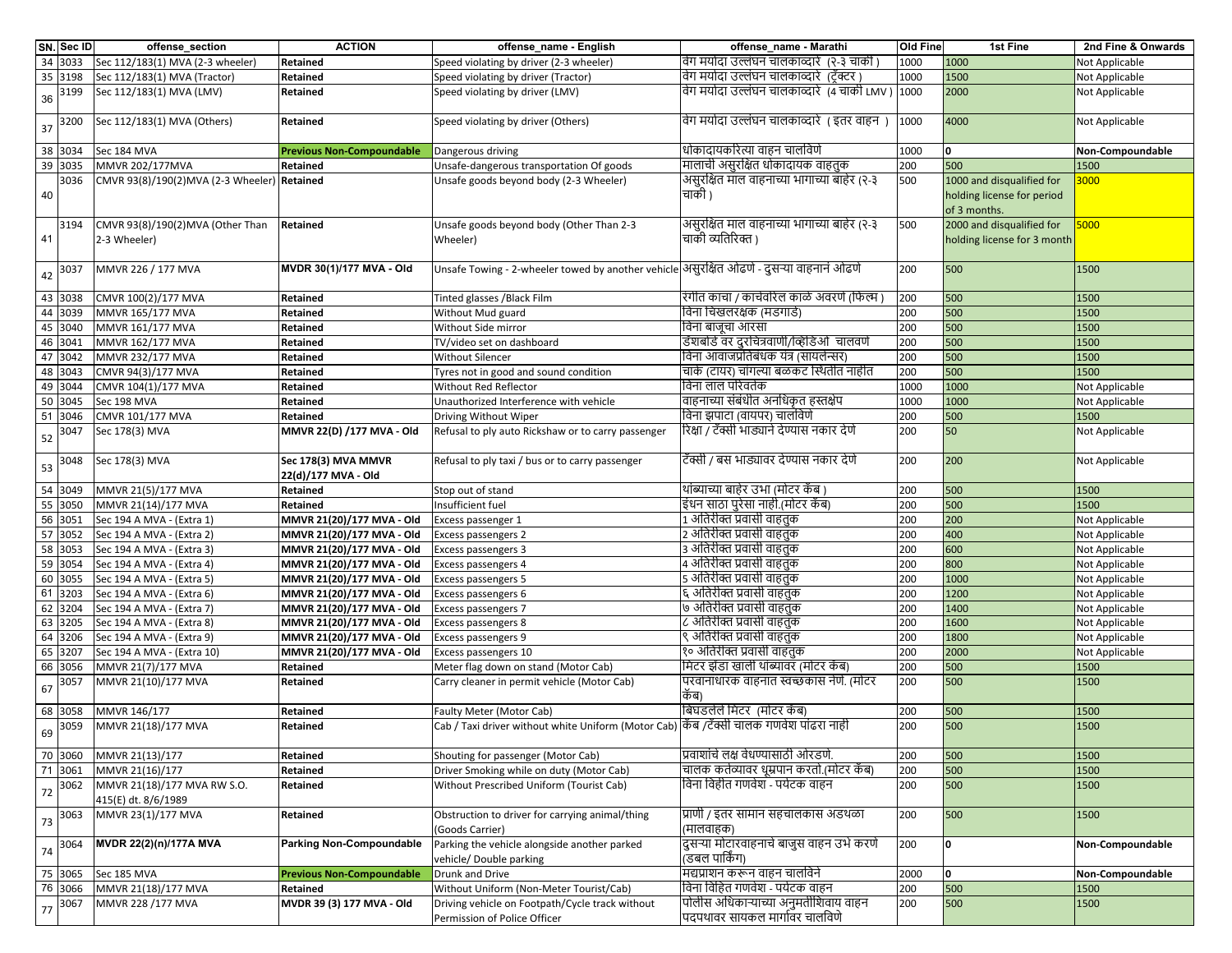|        | SN. Sec ID | offense_section                                  | <b>ACTION</b>                              | offense_name - English                                                                   | offense_name - Marathi                                                 | <b>Old Fine</b> | 1st Fine                                                 | 2nd Fine & Onwards |
|--------|------------|--------------------------------------------------|--------------------------------------------|------------------------------------------------------------------------------------------|------------------------------------------------------------------------|-----------------|----------------------------------------------------------|--------------------|
|        | 34 3033    | Sec 112/183(1) MVA (2-3 wheeler)                 | Retained                                   | Speed violating by driver (2-3 wheeler)                                                  | वेग मर्यादा उल्लंघन चालकाव्दारे  (२-३ चाकी )                           | 1000            | 1000                                                     | Not Applicable     |
|        | 35 3198    | Sec 112/183(1) MVA (Tractor)                     | Retained                                   | Speed violating by driver (Tractor)                                                      | वेग मर्यादा उल्लंघन चालकाव्दारे (टॅक्टर )                              | 1000            | 1500                                                     | Not Applicable     |
| 36     | 3199       | Sec 112/183(1) MVA (LMV)                         | Retained                                   | Speed violating by driver (LMV)                                                          | वेग मर्यादा उल्लंघन चालकाव्दारे (4 चाकी LMV ) 1000                     |                 | 2000                                                     | Not Applicable     |
| 37     | 3200       | Sec 112/183(1) MVA (Others)                      | Retained                                   | Speed violating by driver (Others)                                                       | वेग मर्यादा उल्लंघन चालकाव्दारे । इतर वाहन )                           | 1000            | 4000                                                     | Not Applicable     |
|        | 38 3034    | Sec 184 MVA                                      | <b>Previous Non-Compoundable</b>           | Dangerous driving                                                                        | धोकादायकरित्या वाहन चालविणे                                            | 1000            | 0                                                        | Non-Compoundable   |
| 39     | 3035       | MMVR 202/177MVA                                  | Retained                                   | Unsafe-dangerous transportation Of goods                                                 | मालाची असुरक्षित धोकादायक वाहतुक                                       | 200             | 500                                                      | 1500               |
|        | 3036       | CMVR 93(8)/190(2)MVA (2-3 Wheeler) Retained      |                                            | Unsafe goods beyond body (2-3 Wheeler)                                                   | असुरक्षित माल वाहनाच्या भागाच्या बाहेर (२-३)                           | 500             | 1000 and disqualified for                                | 3000               |
| 40     |            |                                                  |                                            |                                                                                          | चाकी )                                                                 |                 | holding license for period<br>of 3 months.               |                    |
| 41     | 3194       | CMVR 93(8)/190(2)MVA (Other Than<br>2-3 Wheeler) | Retained                                   | Unsafe goods beyond body (Other Than 2-3<br>Wheeler)                                     | असुरक्षित माल वाहनाच्या भागाच्या बाहेर (२-३<br>चाकी व्यतिरिक्त )       | 500             | 2000 and disqualified for<br>holding license for 3 month | 5000               |
| 42     | 3037       | MMVR 226 / 177 MVA                               | MVDR 30(1)/177 MVA - Old                   | Unsafe Towing - 2-wheeler towed by another vehicle असूरक्षित ओढणे - दुसऱ्या वाहनानं ओढणे |                                                                        | 200             | 500                                                      | 1500               |
|        | 43 3038    | CMVR 100(2)/177 MVA                              | Retained                                   | Tinted glasses /Black Film                                                               | रंगीत काचा / काचेवरिल काळे अवरणे (फिल्म )                              | 200             | 500                                                      | 1500               |
|        | 44 3039    | MMVR 165/177 MVA                                 | Retained                                   | Without Mud guard                                                                        | विना चिखलरक्षक (मडगार्ड)                                               | 200             | 500                                                      | 1500               |
|        | 45 3040    | MMVR 161/177 MVA                                 | Retained                                   | Without Side mirror                                                                      | विना बाजूचा आरसा                                                       | 200             | 500                                                      | 1500               |
| 46     | 3041       | MMVR 162/177 MVA                                 | Retained                                   | TV/video set on dashboard                                                                | डॅशबोर्ड वर दुरचित्रवाणी/व्हिडिओ  चालवणे                               | 200             | 500                                                      | 1500               |
|        | 47 3042    | MMVR 232/177 MVA                                 | Retained                                   | <b>Without Silencer</b>                                                                  | विना आवाजप्रतिबंधक यंत्र (सायलेन्सर)                                   | 200             | 500                                                      | 1500               |
|        | 48 3043    | CMVR 94(3)/177 MVA                               | Retained                                   | Tyres not in good and sound condition                                                    | चाके (टायर) चांगल्या बळकट स्थितीत नाहीत                                | 200             | 500                                                      | 1500               |
|        | 49 3044    | CMVR 104(1)/177 MVA                              | Retained                                   | Without Red Reflector                                                                    | विना लाल परिवर्तक                                                      | 1000            | 1000                                                     | Not Applicable     |
|        | 50 3045    | Sec 198 MVA                                      | Retained                                   | Unauthorized Interference with vehicle                                                   | वाहनाच्या संबंधीत अनधिकृत हस्तक्षेप                                    | 1000            | 1000                                                     | Not Applicable     |
|        | 51 3046    | CMVR 101/177 MVA                                 | Retained                                   | Driving Without Wiper                                                                    | विना झपाटा (वायपर) चालविणे                                             | 200             | 500                                                      | 1500               |
|        | 3047       | Sec 178(3) MVA                                   | MMVR 22(D) /177 MVA - Old                  | Refusal to ply auto Rickshaw or to carry passenger                                       | रिक्षा / टॅक्सी भाड्याने देण्यास नकार देणे                             | 200             | 50                                                       | Not Applicable     |
| 52     |            |                                                  |                                            |                                                                                          |                                                                        |                 |                                                          |                    |
| 53     | 3048       | Sec 178(3) MVA                                   | Sec 178(3) MVA MMVR<br>22(d)/177 MVA - Old | Refusal to ply taxi / bus or to carry passenger                                          | टॅक्सी / बस भाड्यावर देण्यास नकार देणे                                 | 200             | 200                                                      | Not Applicable     |
|        | 54 3049    | MMVR 21(5)/177 MVA                               | Retained                                   | Stop out of stand                                                                        | थांब्याच्या बाहेर उभा (मोटर कॅब )                                      | 200             | 500                                                      | 1500               |
|        | 55 3050    | MMVR 21(14)/177 MVA                              | Retained                                   | Insufficient fuel                                                                        | इंधन साठा पुरेसा नाही.(मोटर कॅब)                                       | 200             | 500                                                      | 1500               |
|        | 56 3051    | Sec 194 A MVA - (Extra 1)                        | MMVR 21(20)/177 MVA - Old                  | Excess passenger 1                                                                       | 1 अतिरीक्त प्रवासी वाहतुक                                              | 200             | 200                                                      | Not Applicable     |
|        | 57 3052    | Sec 194 A MVA - (Extra 2)                        | MMVR 21(20)/177 MVA - Old                  | Excess passengers 2                                                                      | 2 अतिरीक्त प्रवासी वाहतुक                                              | 200             | 400                                                      | Not Applicable     |
|        | 58 3053    | Sec 194 A MVA - (Extra 3)                        | MMVR 21(20)/177 MVA - Old                  | Excess passengers 3                                                                      | 3 अतिरीक्त प्रवासी वाहतुक                                              | 200             | 600                                                      | Not Applicable     |
|        | 59 3054    | Sec 194 A MVA - (Extra 4)                        | MMVR 21(20)/177 MVA - Old                  | Excess passengers 4                                                                      | 4 अतिरीक्त प्रवासी वाहतुक                                              | 200             | 800                                                      | Not Applicable     |
|        | 60 3055    | Sec 194 A MVA - (Extra 5)                        | MMVR 21(20)/177 MVA - Old                  | Excess passengers 5                                                                      | 5 अतिरीक्त प्रवासी वाहतुक                                              | 200             | 1000                                                     | Not Applicable     |
|        | 61 3203    | Sec 194 A MVA - (Extra 6)                        | MMVR 21(20)/177 MVA - Old                  | Excess passengers 6                                                                      | ६ अतिरीक्त प्रवासी वाहतुक                                              | 200             | 1200                                                     | Not Applicable     |
| 62     | 3204       | Sec 194 A MVA - (Extra 7)                        | MMVR 21(20)/177 MVA - Old                  | Excess passengers 7                                                                      | ७ अतिरीक्त प्रवासी वाहतुक                                              | 200             | 1400                                                     | Not Applicable     |
| 63     | 3205       | Sec 194 A MVA - (Extra 8)                        | MMVR 21(20)/177 MVA - Old                  | Excess passengers 8                                                                      | ८ अतिरीक्त प्रवासी वाहतुक                                              | 200             | 1600                                                     | Not Applicable     |
|        | 64 3206    | Sec 194 A MVA - (Extra 9)                        | MMVR 21(20)/177 MVA - Old                  | Excess passengers 9                                                                      | , अतिरीक्त प्रवासी वाहतुक                                              | 200             | 1800                                                     | Not Applicable     |
|        | 65 3207    | Sec 194 A MVA - (Extra 10)                       | MMVR 21(20)/177 MVA - Old                  | Excess passengers 10                                                                     | १० अतिरीक्त प्रवासी वाहतुक                                             | 200             | 2000                                                     | Not Applicable     |
|        | 66 3056    | MMVR 21(7)/177 MVA                               | Retained                                   | Meter flag down on stand (Motor Cab)                                                     | मिटर झेंडा खाली थांब्यावर (मोटर कॅब)                                   | 200             | 500                                                      | 1500               |
| 67     | 3057       | MMVR 21(10)/177 MVA                              | Retained                                   | Carry cleaner in permit vehicle (Motor Cab)                                              | परवानाधारक वाहनात स्वच्छकास नेणे. (मोटर<br>कॅब)                        | 200             | 500                                                      | 1500               |
|        | 68 3058    | MMVR 146/177                                     | Retained                                   | Faulty Meter (Motor Cab)                                                                 | बिघडलेले मिटर (मोटर कॅब)                                               | 200             | 500                                                      | 1500               |
| 69     | 3059       | MMVR 21(18)/177 MVA                              | Retained                                   | Cab / Taxi driver without white Uniform (Motor Cab) किंब /टॅक्सी चालक गणवेश पांढरा नाही  |                                                                        | 200             | 500                                                      | 1500               |
|        | 70 3060    | MMVR 21(13)/177                                  | Retained                                   | Shouting for passenger (Motor Cab)                                                       | प्रवाशांचे लक्ष वेधण्यासाठी ओरडणे.                                     | 200             | 500                                                      | 1500               |
|        | 71 3061    | MMVR 21(16)/177                                  | Retained                                   | Driver Smoking while on duty (Motor Cab)                                                 | चालक कर्तव्यावर धूम्रपान करतो.(मोटर कॅब)                               | 200             | 500                                                      | 1500               |
|        | 3062       | MMVR 21(18)/177 MVA RW S.O.                      | Retained                                   | Without Prescribed Uniform (Tourist Cab)                                                 | विना विहीत गणवेश - पर्यटक वाहन                                         | 200             | 500                                                      | 1500               |
| 72     |            | 415(E) dt. 8/6/1989                              |                                            |                                                                                          |                                                                        |                 |                                                          |                    |
| 73     | 3063       | MMVR 23(1)/177 MVA                               | Retained                                   | Obstruction to driver for carrying animal/thing<br>(Goods Carrier)                       | प्राणी / इतर सामान सहचालकास अडथळा<br>(मालवाहक)                         | 200             | 500                                                      | 1500               |
| $74\,$ | 3064       | MVDR 22(2)(n)/177A MVA                           | <b>Parking Non-Compoundable</b>            | Parking the vehicle alongside another parked<br>vehicle/ Double parking                  | दुसऱ्या मोटारवाहनाचे बाजुस वाहन उभे करणे<br>(डबल पार्किंग)             | 200             | 10                                                       | Non-Compoundable   |
|        | 75 3065    | Sec 185 MVA                                      | <b>Previous Non-Compoundable</b>           | Drunk and Drive                                                                          | मद्यप्राशन करून वाहन चालविने                                           | 2000            | 0                                                        | Non-Compoundable   |
|        | 76 3066    | MMVR 21(18)/177 MVA                              | Retained                                   | Without Uniform (Non-Meter Tourist/Cab)                                                  | विना विहित गणवेश - पर्यटक वाहन                                         | 200             | 500                                                      | 1500               |
| 77     | 3067       | MMVR 228 /177 MVA                                | MVDR 39 (3) 177 MVA - Old                  | Driving vehicle on Footpath/Cycle track without<br>Permission of Police Officer          | पोलीस अधिकाऱ्याच्या अनुमतीशिवाय वाहन<br>पदपथावर सायकल मार्गावर चालविणे | 200             | 500                                                      | 1500               |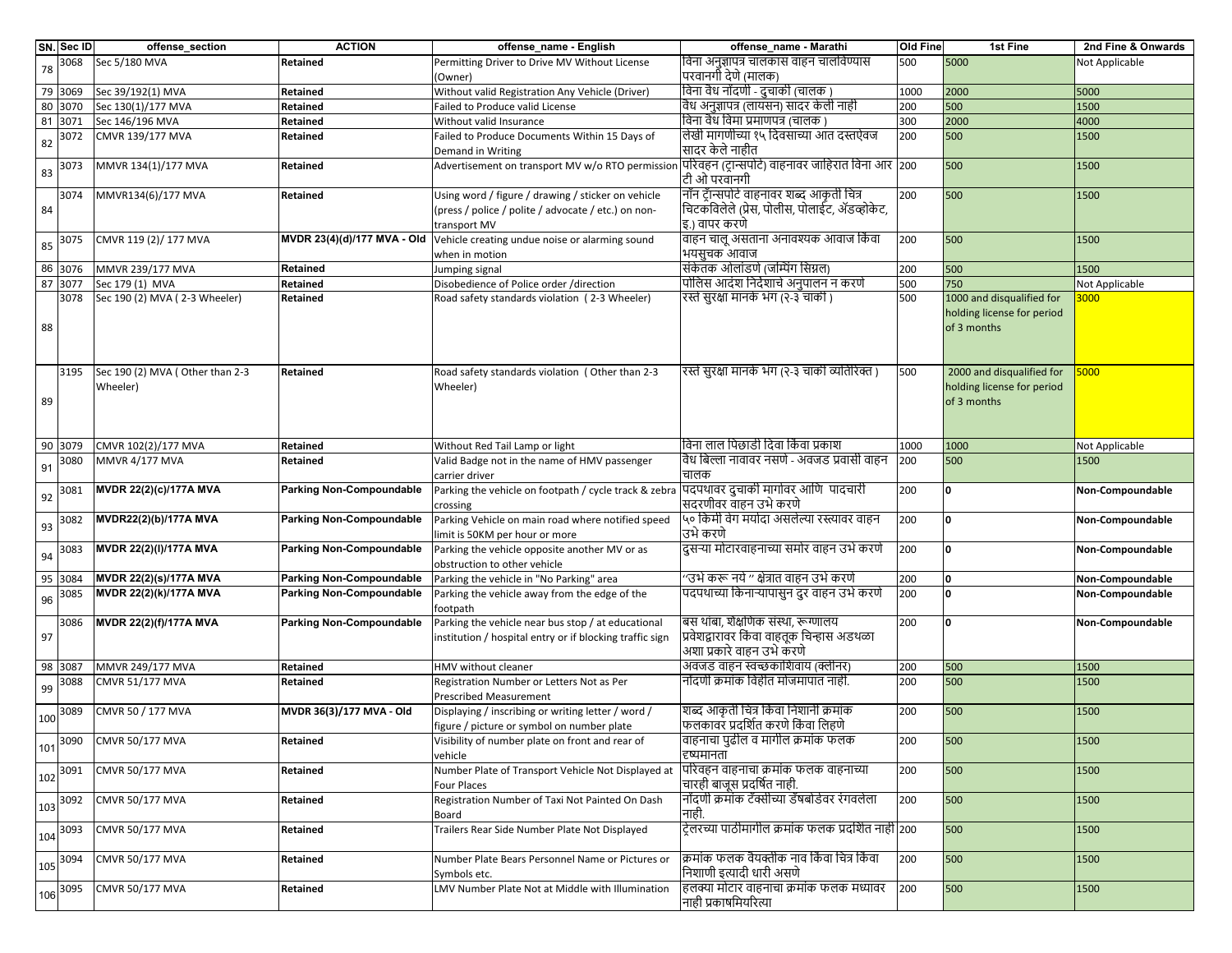|     | SN. Sec ID | offense_section                             | <b>ACTION</b>                   | offense_name - English                                                                                                    | offense_name - Marathi                                                                                        | Old Fine | 1st Fine                                                               | 2nd Fine & Onwards |
|-----|------------|---------------------------------------------|---------------------------------|---------------------------------------------------------------------------------------------------------------------------|---------------------------------------------------------------------------------------------------------------|----------|------------------------------------------------------------------------|--------------------|
| 78  | 3068       | Sec 5/180 MVA                               | Retained                        | Permitting Driver to Drive MV Without License<br>(Owner)                                                                  | विना अनुज्ञापत्र चालकास वाहन चालविण्यास<br>परवानगी देणे (मालक)                                                | 500      | 5000                                                                   | Not Applicable     |
|     | 79 3069    | Sec 39/192(1) MVA                           | Retained                        | Without valid Registration Any Vehicle (Driver)                                                                           | विना वैध नोंदणी - दुचाकी (चालक )                                                                              | 1000     | 2000                                                                   | 5000               |
|     | 80 3070    | Sec 130(1)/177 MVA                          | Retained                        | Failed to Produce valid License                                                                                           | वैध अनुज्ञापत्र (लायसन) सादर केली नाही                                                                        | 200      | 500                                                                    | 1500               |
|     | 81 3071    | Sec 146/196 MVA                             | Retained                        | Without valid Insurance                                                                                                   | विना वैध विमा प्रमाणपत्र (चालक )                                                                              | 300      | 2000                                                                   | 4000               |
| 82  | 3072       | CMVR 139/177 MVA                            | Retained                        | Failed to Produce Documents Within 15 Days of<br>Demand in Writing                                                        | लेखी मागणीच्या १५ दिवसाच्या आत दस्तऐवज<br>सादर केले नाहीत                                                     | 200      | 500                                                                    | 1500               |
| 83  | 3073       | MMVR 134(1)/177 MVA                         | Retained                        | Advertisement on transport MV w/o RTO permission परिवहन (ट्रान्सपोर्ट) वाहनावर जाहिरात विना आर  200                       | टिी ओ परवानगी                                                                                                 |          | 500                                                                    | 1500               |
| 84  | 3074       | MMVR134(6)/177 MVA                          | Retained                        | Using word / figure / drawing / sticker on vehicle<br>(press / police / polite / advocate / etc.) on non-<br>transport MV | नॉन ट्रॅन्सपोर्ट वाहनावर शब्द आकृती चित्र<br>चिटकविलेले (प्रेस, पोलीस, पोलाईट, ॲडव्होकेट,<br>इ.) वापर करणे    | 200      | 500                                                                    | 1500               |
| 85  | 3075       | CMVR 119 (2)/ 177 MVA                       |                                 | MVDR 23(4)(d)/177 MVA - Old Vehicle creating undue noise or alarming sound<br>when in motion                              | वाहन चालू असताना अनावश्यक आवाज किंवा<br>भयसुचक आवाज                                                           | 200      | 500                                                                    | 1500               |
| 86  | 3076       | MMVR 239/177 MVA                            | Retained                        | Jumping signal                                                                                                            | संकेतक ओलांडणे (जम्पिंग सिग्नल)                                                                               | 200      | 500                                                                    | 1500               |
| 87  | 3077       | Sec 179 (1) MVA                             | Retained                        | Disobedience of Police order /direction                                                                                   | पोलिस आदंश निर्देशाचे अनुपालन न करणे                                                                          | 500      | 750                                                                    | Not Applicable     |
| 88  | 3078       | Sec 190 (2) MVA (2-3 Wheeler)               | Retained                        | Road safety standards violation (2-3 Wheeler)                                                                             | रस्ते सुरक्षा मानके भंग (२-३ चाकी )                                                                           | 500      | 1000 and disqualified for<br>holding license for period<br>of 3 months | 000                |
| 89  | 3195       | Sec 190 (2) MVA (Other than 2-3<br>Wheeler) | Retained                        | Road safety standards violation (Other than 2-3<br>Wheeler)                                                               | रस्ते सुरक्षा मानके भंग (२-३ चाकी व्यतिरिक्त )                                                                | 500      | 2000 and disqualified for<br>holding license for period<br>of 3 months | 5000               |
| 90  | 3079       | CMVR 102(2)/177 MVA                         | Retained                        | Without Red Tail Lamp or light                                                                                            | विना लाल पिछाडी दिवा किंवा प्रकाश                                                                             | 1000     | 1000                                                                   | Not Applicable     |
| 91  | 3080       | <b>MMVR 4/177 MVA</b>                       | Retained                        | Valid Badge not in the name of HMV passenger<br>carrier driver                                                            | वैध बिल्ला नावावर नसणे - अवजड प्रवासी वाहन<br>चालक                                                            | 200      | 500                                                                    | 1500               |
| 92  | 3081       | MVDR 22(2)(c)/177A MVA                      | Parking Non-Compoundable        | Parking the vehicle on footpath / cycle track & zebra<br>crossing                                                         | पिदपथावर दुचाकी मार्गावर आणि पादचारी<br>सदरणीवर वाहन उभे करणे                                                 | 200      | O                                                                      | Non-Compoundable   |
| 93  | 3082       | MVDR22(2)(b)/177A MVA                       | <b>Parking Non-Compoundable</b> | Parking Vehicle on main road where notified speed<br>limit is 50KM per hour or more                                       | ५० किमी वेग मर्यादा असलेल्या रस्त्यावर वाहन<br>उभे करणे                                                       | 200      | 0                                                                      | Non-Compoundable   |
| 94  | 3083       | MVDR 22(2)(I)/177A MVA                      | <b>Parking Non-Compoundable</b> | Parking the vehicle opposite another MV or as<br>obstruction to other vehicle                                             | दुसऱ्या मोटारवाहनाच्या समोर वाहन उभे करणे                                                                     | 200      | <sup>0</sup>                                                           | Non-Compoundable   |
| 95  | 3084       | <b>MVDR 22(2)(s)/177A MVA</b>               | <b>Parking Non-Compoundable</b> | Parking the vehicle in "No Parking" area                                                                                  | ''उभे करू नये '' क्षेत्रात वाहन उभे करणे                                                                      | 200      |                                                                        | Non-Compoundable   |
| 96  | 3085       | MVDR 22(2)(k)/177A MVA                      | <b>Parking Non-Compoundable</b> | Parking the vehicle away from the edge of the<br>footpath                                                                 | पदपथाच्या किनाऱ्यापासुन दुर वाहन उभे करणे                                                                     | 200      |                                                                        | Non-Compoundable   |
| 97  | 3086       | MVDR 22(2)(f)/177A MVA                      | <b>Parking Non-Compoundable</b> | Parking the vehicle near bus stop / at educational<br>institution / hospital entry or if blocking traffic sign            | बस थांबा, शैक्षणिक संस्था, रूग्णालय<br>प्रवेशद्वारावर किंवा वाहतूक चिन्हास अडथळा<br>अशा प्रकारे वाहन उभे करणे | 200      | $\Omega$                                                               | Non-Compoundable   |
| 98  | 3087       | MMVR 249/177 MVA                            | Retained                        | HMV without cleaner                                                                                                       | अवजड वाहन स्वच्छकाशिवाय (क्लीनर)                                                                              | 200      | 500                                                                    | 1500               |
| 99  | 3088       | <b>CMVR 51/177 MVA</b>                      | Retained                        | Registration Number or Letters Not as Per<br><b>Prescribed Measurement</b>                                                | नोंदणी क्रमांक विहीत मोजमापात नाही.                                                                           | 200      | 500                                                                    | 1500               |
| 100 | 3089       | CMVR 50 / 177 MVA                           | MVDR 36(3)/177 MVA - Old        | Displaying / inscribing or writing letter / word /<br>figure / picture or symbol on number plate                          | शब्द आकृती चित्र किंवा निशानी क्रमांक<br>फलकावर प्रदर्शित करणे किंवा लिहणे                                    | 200      | 500                                                                    | 1500               |
| 101 |            | 3090 CMVR 50/177 MVA                        | Retained                        | Visibility of number plate on front and rear of<br>vehicle                                                                | वाहनाचा पुढील व मार्गील क्रमांक फलक<br>दृष्यमानता                                                             | 200      | 500                                                                    | 1500               |
|     | 102 3091   | CMVR 50/177 MVA                             | Retained                        | Number Plate of Transport Vehicle Not Displayed at<br><b>Four Places</b>                                                  | पिरिवहन वाहनाचा क्रमांक फलक वाहनाच्या<br>चारही बाजूस प्रदर्षित नाही.                                          | 200      | 500                                                                    | 1500               |
| 103 | 3092       | <b>CMVR 50/177 MVA</b>                      | Retained                        | Registration Number of Taxi Not Painted On Dash<br>Board                                                                  | नोंदणी क्रमांक टॅक्सीच्या डॅषबोर्डवर रंगवलेला<br>नाही                                                         | 200      | 500                                                                    | 1500               |
| 104 | 3093       | CMVR 50/177 MVA                             | Retained                        | Trailers Rear Side Number Plate Not Displayed                                                                             | टेलरच्या पाठीमांगील क्रमांक फलक प्रदर्शित नाही  200                                                           |          | 500                                                                    | 1500               |
| 105 | 3094       | <b>CMVR 50/177 MVA</b>                      | Retained                        | Number Plate Bears Personnel Name or Pictures or<br>Symbols etc.                                                          | क्रिमांक फलक वैयक्तीक नाव किंवा चित्र किंवा<br>निशाणी इत्यादी धारी असणे                                       | 200      | 500                                                                    | 1500               |
| 106 | 3095       | <b>CMVR 50/177 MVA</b>                      | Retained                        | LMV Number Plate Not at Middle with Illumination                                                                          | हलक्या मोटार वाहनाचा क्रमांक फलक मध्यावर<br>नाही प्रकाषमियरित्या                                              | 200      | 500                                                                    | 1500               |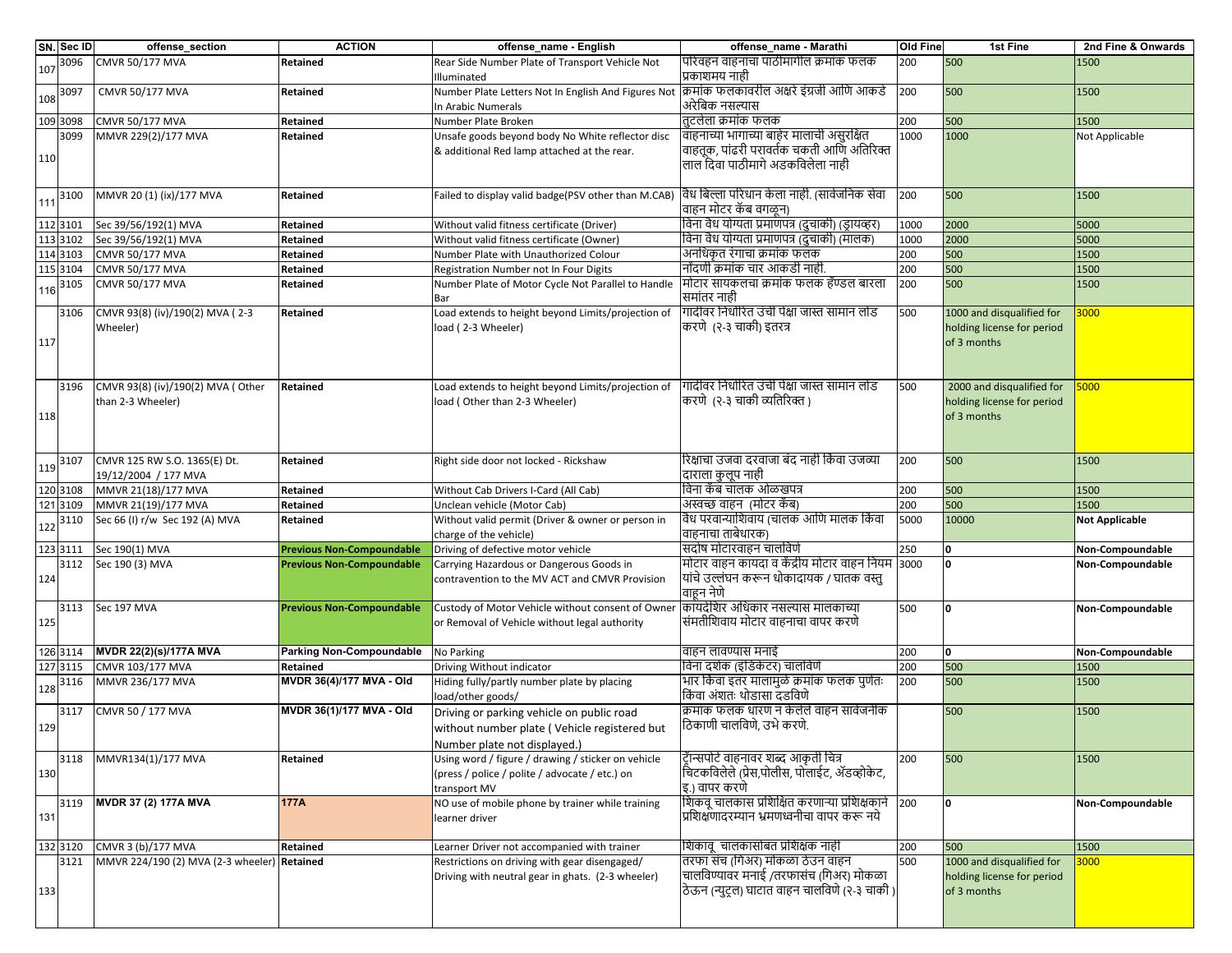|     | SN. Sec ID | offense_section                                        | <b>ACTION</b>                    | offense_name - English                                                                                                    | offense_name - Marathi                                                                                                      | Old Fine | 1st Fine                                                               | 2nd Fine & Onwards    |
|-----|------------|--------------------------------------------------------|----------------------------------|---------------------------------------------------------------------------------------------------------------------------|-----------------------------------------------------------------------------------------------------------------------------|----------|------------------------------------------------------------------------|-----------------------|
| 107 | 3096       | CMVR 50/177 MVA                                        | Retained                         | Rear Side Number Plate of Transport Vehicle Not<br>Illuminated                                                            | परिवहन वाहनाचा पाठीमागील क्रमांक फलक<br>प्रकाशमय नाही                                                                       | 200      | 500                                                                    | 1500                  |
| 108 | 3097       | CMVR 50/177 MVA                                        | Retained                         | Number Plate Letters Not In English And Figures Not<br>In Arabic Numerals                                                 | क्रिमांक फलकावरील अक्षरे इंग्रजी आणि आकडे<br>अरेबिक नसल्यास                                                                 | 200      | 500                                                                    | 1500                  |
|     | 109 3098   | CMVR 50/177 MVA                                        | Retained                         | Number Plate Broken                                                                                                       | तटलेला क्रमांक फलक                                                                                                          | 200      | 500                                                                    | 1500                  |
|     | 3099       | MMVR 229(2)/177 MVA                                    | Retained                         | Unsafe goods beyond body No White reflector disc                                                                          | वाहनाच्या भागाच्या बाहेर मालाची असुरक्षित                                                                                   | 1000     | 1000                                                                   | Not Applicable        |
| 110 |            |                                                        |                                  | & additional Red lamp attached at the rear.                                                                               | वाहतूक, पांढरी परावर्तक चकती आणि अतिरिक्त<br>लाल दिवा पाठीमागे अडकविलेला नाही                                               |          |                                                                        |                       |
| 111 | 3100       | MMVR 20 (1) (ix)/177 MVA                               | Retained                         | Failed to display valid badge(PSV other than M.CAB)                                                                       | विध बिल्ला परिधान केला नाही. (सार्वजनिक सेवा<br>वाहन मोटर कॅब वगळून)                                                        | 200      | 500                                                                    | 1500                  |
|     | 112 3101   | Sec 39/56/192(1) MVA                                   | Retained                         | Without valid fitness certificate (Driver)                                                                                | विना वैध योग्यता प्रमाणेपत्र (दुचाकी) (ड्रायव्हर)                                                                           | 1000     | 2000                                                                   | 5000                  |
|     | 113 3102   | Sec 39/56/192(1) MVA                                   | Retained                         | Without valid fitness certificate (Owner)                                                                                 | विना वैध योग्यता प्रमाणपत्र (दुचाकी) (मालक)                                                                                 | 1000     | 2000                                                                   | 5000                  |
|     | 114 3103   | CMVR 50/177 MVA                                        | Retained                         | Number Plate with Unauthorized Colour                                                                                     | अनधिकृत रंगाचा क्रमांक फलक                                                                                                  | 200      | 500                                                                    | 1500                  |
|     | 115 3104   | CMVR 50/177 MVA                                        | Retained                         | Registration Number not In Four Digits                                                                                    | नोंदणी क्रमांक चार आकडी नाही                                                                                                | 200      | 500                                                                    | 1500                  |
| 116 | 3105       | CMVR 50/177 MVA                                        | Retained                         | Number Plate of Motor Cycle Not Parallel to Handle<br>Bar                                                                 | मोटार सायकलचा क्रमांक फलक हॅण्डल बारला<br>समांतर नाही                                                                       | 200      | 500                                                                    | 1500                  |
| 117 | 3106       | CMVR 93(8) (iv)/190(2) MVA (2-3<br>Wheeler)            | Retained                         | Load extends to height beyond Limits/projection of<br>load (2-3 Wheeler)                                                  | गादीवर निर्धारित उंची पेक्षा जास्त सामान लोड<br>किरणे (२-३ चाकी) इतरत्र                                                     | 500      | 1000 and disqualified for<br>holding license for period<br>of 3 months | 3000                  |
| 118 | 3196       | CMVR 93(8) (iv)/190(2) MVA (Other<br>than 2-3 Wheeler) | Retained                         | Load extends to height beyond Limits/projection of<br>load (Other than 2-3 Wheeler)                                       | गादीवर निर्धारित उंची पेक्षा जास्त सामान लोड<br>करणे (२-३ चाकी व्यतिरिक्त)                                                  | 500      | 2000 and disqualified for<br>holding license for period<br>of 3 months | 5000                  |
| 119 | 3107       | CMVR 125 RW S.O. 1365(E) Dt.<br>19/12/2004 / 177 MVA   | Retained                         | Right side door not locked - Rickshaw                                                                                     | रिक्षाचा उजवा दरवाजा बंद नाही किंवा उजव्या<br> दाराला कुलूप नाही                                                            | 200      | 500                                                                    | 1500                  |
|     | 120 3108   | MMVR 21(18)/177 MVA                                    | Retained                         | Without Cab Drivers I-Card (All Cab)                                                                                      | विना कॅब चालक ओळखपत्र                                                                                                       | 200      | 500                                                                    | 1500                  |
|     | 121 3109   | MMVR 21(19)/177 MVA                                    | Retained                         | Unclean vehicle (Motor Cab)                                                                                               | अस्वच्छ वाहन (मोटर कॅब)                                                                                                     | 200      | 500                                                                    | 1500                  |
| 122 | 3110       | Sec 66 (I) r/w Sec 192 (A) MVA                         | Retained                         | Without valid permit (Driver & owner or person in<br>charge of the vehicle)                                               | विध परवान्याशिवाय (चालक आणि मालक किंवा<br>वाहनाचा ताबेधारक)                                                                 | 5000     | 10000                                                                  | <b>Not Applicable</b> |
|     | 123 3111   | Sec 190(1) MVA                                         | <b>Previous Non-Compoundable</b> | Driving of defective motor vehicle                                                                                        | सदोष मोटारवाहन चालविणे                                                                                                      | 250      | n                                                                      | Non-Compoundable      |
| 124 |            | 3112 Sec 190 (3) MVA                                   | <b>Previous Non-Compoundable</b> | Carrying Hazardous or Dangerous Goods in<br>contravention to the MV ACT and CMVR Provision                                | मोटार वाहन कायदा व केंद्रीय मोटार वाहन नियम<br>यांचे उल्लंघन करून धोकादायक / घातक वस्तु<br>वाहून नेणे                       | 3000     | ١o                                                                     | Non-Compoundable      |
| 125 | 3113       | Sec 197 MVA                                            | <b>Previous Non-Compoundable</b> | Custody of Motor Vehicle without consent of Owner<br>or Removal of Vehicle without legal authority                        | कायदेशिर अधिकार नसल्यास मालकाच्या<br>संमतीशिवाय मोटार वाहनाचा वापर करणे                                                     | 500      | ١o                                                                     | Non-Compoundable      |
|     | 126 3114   | MVDR 22(2)(s)/177A MVA                                 | <b>Parking Non-Compoundable</b>  | No Parking                                                                                                                | वाहन लावण्यास मनाई                                                                                                          | 200      | <b>O</b>                                                               | Non-Compoundable      |
|     | 127 3115   | CMVR 103/177 MVA                                       | Retained                         | Driving Without indicator                                                                                                 | विना दर्शक (इंडिकेटर) चालविणे                                                                                               | 200      | 500                                                                    | 1500                  |
| 128 | 3116       | MMVR 236/177 MVA                                       | MVDR 36(4)/177 MVA - Old         | Hiding fully/partly number plate by placing<br>load/other goods/                                                          | भार किंवा इतर मालामुळे क्रमांक फलक पुणेतः<br>किंवा अंशतः थोडासा दडविणे                                                      | 200      | 500                                                                    | 1500                  |
| 129 | 3117       | CMVR 50 / 177 MVA                                      | MVDR 36(1)/177 MVA - Old         | Driving or parking vehicle on public road<br>without number plate (Vehicle registered but<br>Number plate not displayed.) | क्रमांक फलक धारण न केलेले वाहन सार्वजनीक<br>ठिकाणी चालविणे, उभे करणे.                                                       |          | 500                                                                    | 1500                  |
| 130 | 3118       | MMVR134(1)/177 MVA                                     | Retained                         | Using word / figure / drawing / sticker on vehicle<br>(press / police / polite / advocate / etc.) on<br>transport MV      | ट्रॅान्सपोर्ट वाहनावर शब्द आकृती चित्र<br>चिटकविलेले (प्रेस,पोलीस, पोलाईट, ॲडव्होकेट,<br>इ.) वापर करणे                      | 200      | 500                                                                    | 1500                  |
| 131 | 3119       | MVDR 37 (2) 177A MVA                                   | 177A                             | NO use of mobile phone by trainer while training<br>learner driver                                                        | शिकवू चालकास प्रशिक्षित करणाऱ्या प्रशिक्षकाने<br>प्रशिक्षणादरम्यान भ्रमणध्वनीचा वापर करू नये                                | 200      | <b>O</b>                                                               | Non-Compoundable      |
|     | 132 3120   | CMVR 3 (b)/177 MVA                                     | Retained                         | Learner Driver not accompanied with trainer                                                                               | शिकाव् चालकासोबत प्रशिक्षक नाही                                                                                             | 200      | 500                                                                    | 1500                  |
| 133 | 3121       | MMVR 224/190 (2) MVA (2-3 wheeler) Retained            |                                  | Restrictions on driving with gear disengaged/<br>Driving with neutral gear in ghats. (2-3 wheeler)                        | तरफा संच (गिअर) मोकळा ठेउन वाहन<br>चालविण्यावर मनाई /तरफासंच (गिअर) मोकळा<br>ठिऊन (न्युट्रल) घाटात वाहन चालविणे (२-३ चाकी ) | 500      | 1000 and disqualified for<br>holding license for period<br>of 3 months | 3000                  |
|     |            |                                                        |                                  |                                                                                                                           |                                                                                                                             |          |                                                                        |                       |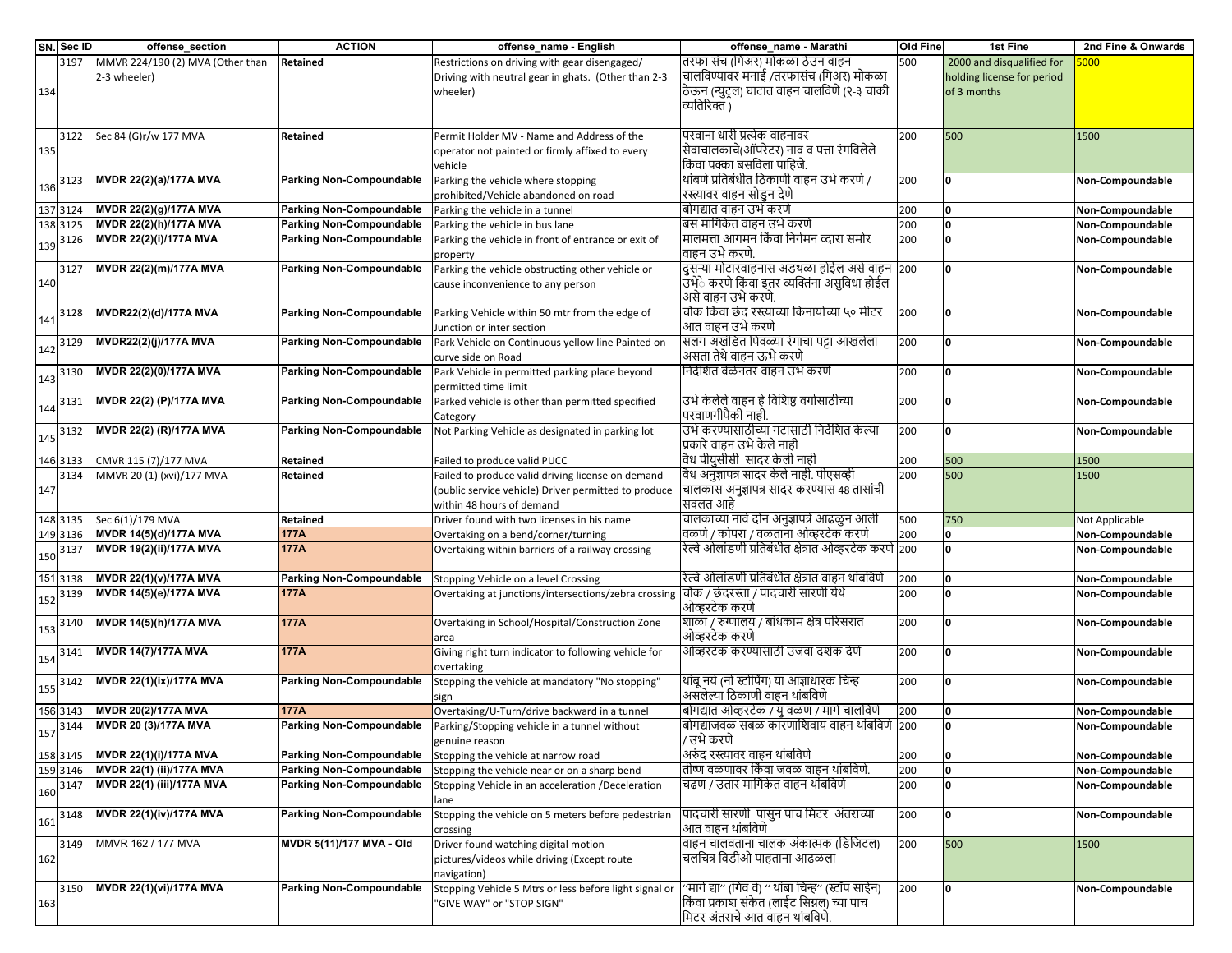|     | SN. Sec ID | offense_section                  | <b>ACTION</b>                   | offense_name - English                                       | offense name - Marathi                                    | <b>Old Fine</b> | 1st Fine                   | 2nd Fine & Onwards |
|-----|------------|----------------------------------|---------------------------------|--------------------------------------------------------------|-----------------------------------------------------------|-----------------|----------------------------|--------------------|
|     | 3197       | MMVR 224/190 (2) MVA (Other than | Retained                        | Restrictions on driving with gear disengaged/                | तरफा संच (गिअर) मोकळा ठेउन वाहन                           | 500             | 2000 and disqualified for  | 000                |
|     |            | 2-3 wheeler)                     |                                 | Driving with neutral gear in ghats. (Other than 2-3          | चालविण्यावर मनाई /तरफासंच (गिअर) मोकळा                    |                 | holding license for period |                    |
| 134 |            |                                  |                                 | wheeler)                                                     | ठेऊन (न्युट्रल) घाटात वाहन चालविणे (२-३ चाकी              |                 | of 3 months                |                    |
|     |            |                                  |                                 |                                                              | व्यतिरिक्त )                                              |                 |                            |                    |
|     |            |                                  |                                 |                                                              |                                                           |                 |                            |                    |
|     | 3122       | Sec 84 (G)r/w 177 MVA            | Retained                        | Permit Holder MV - Name and Address of the                   | परवाना धारी प्रत्येक वाहनावर                              | 200             | 500                        | 1500               |
| 135 |            |                                  |                                 | operator not painted or firmly affixed to every              | सेवाचालकाचे(ऑपरेटर) नाव व पत्ता रंगविलेले                 |                 |                            |                    |
|     |            |                                  |                                 | vehicle                                                      | किंवा पक्का बसविला पाहिजे.                                |                 |                            |                    |
|     | 3123       | MVDR 22(2)(a)/177A MVA           | <b>Parking Non-Compoundable</b> | Parking the vehicle where stopping                           | थांबणे प्रतिबंधीत ठिकाणी वाहन उभे करणे /                  | 200             | O                          | Non-Compoundable   |
| 136 |            |                                  |                                 | prohibited/Vehicle abandoned on road                         | रस्त्यावर वाहन सोडुन देणे                                 |                 |                            |                    |
|     | 137 3124   | MVDR 22(2)(g)/177A MVA           | <b>Parking Non-Compoundable</b> | Parking the vehicle in a tunnel                              | बोगद्यात वाहन उभे करणे                                    | 200             | 0                          | Non-Compoundable   |
|     | 138 3125   | <b>MVDR 22(2)(h)/177A MVA</b>    | <b>Parking Non-Compoundable</b> | Parking the vehicle in bus lane                              | बिस मार्गिकेत वाहन उभे करणे                               | 200             | O                          | Non-Compoundable   |
|     | 3126       | MVDR 22(2)(i)/177A MVA           | <b>Parking Non-Compoundable</b> | Parking the vehicle in front of entrance or exit of          | मालमत्ता आगमन किंवा निर्गमन व्दारा समोर                   | 200             | O                          | Non-Compoundable   |
| 139 |            |                                  |                                 | property                                                     | वाहन उभे करणे.                                            |                 |                            |                    |
|     | 3127       | MVDR 22(2)(m)/177A MVA           | <b>Parking Non-Compoundable</b> | Parking the vehicle obstructing other vehicle or             | दुसऱ्या मोटारवाहनास अडथळा होईल असे वाहन 200               |                 | <sup>0</sup>               | Non-Compoundable   |
| 140 |            |                                  |                                 | cause inconvenience to any person                            | उँभेे करणे किंवा इतर व्यक्तिंना असुविधा होईल              |                 |                            |                    |
|     |            |                                  |                                 |                                                              | असे वाहन उभे करणे.                                        |                 |                            |                    |
|     | 3128       | MVDR22(2)(d)/177A MVA            | <b>Parking Non-Compoundable</b> | Parking Vehicle within 50 mtr from the edge of               | चौक किंवा छेद रस्त्याच्या किनायोच्या ५० मीटर              | 200             | 0                          | Non-Compoundable   |
| 141 |            |                                  |                                 | Junction or inter section                                    | आत वाहन उभे करणे                                          |                 |                            |                    |
|     | 3129       | MVDR22(2)(j)/177A MVA            | Parking Non-Compoundable        | Park Vehicle on Continuous yellow line Painted on            | सलग अखंडित पिवळ्या रंगाचा पट्टा आखलेला                    | 200             | O                          | Non-Compoundable   |
| 142 |            |                                  |                                 | curve side on Road                                           | असता तेथे वाहन ऊभे करणे                                   |                 |                            |                    |
|     | 3130       | MVDR 22(2)(0)/177A MVA           | <b>Parking Non-Compoundable</b> | Park Vehicle in permitted parking place beyond               | निर्देशित वेळेनंतर वाहन उभे करणे                          | 200             | O                          | Non-Compoundable   |
| 143 |            |                                  |                                 |                                                              |                                                           |                 |                            |                    |
|     |            | MVDR 22(2) (P)/177A MVA          | <b>Parking Non-Compoundable</b> | permitted time limit                                         | उभे केलेले वाहन हे विशिष्ठ वर्गासाठीच्या                  |                 | $\Omega$                   |                    |
| 144 | 3131       |                                  |                                 | Parked vehicle is other than permitted specified             | परवाणगीपैकी नाही.                                         | 200             |                            | Non-Compoundable   |
|     |            | MVDR 22(2) (R)/177A MVA          | <b>Parking Non-Compoundable</b> | Category<br>Not Parking Vehicle as designated in parking lot | उभे करण्यासाठीच्या गटासाठी निर्देशित केल्या               |                 |                            |                    |
| 145 | 3132       |                                  |                                 |                                                              |                                                           | 200             | O                          | Non-Compoundable   |
|     |            |                                  |                                 |                                                              | प्रकारे वाहन उभे केले नाही<br>विध पीयुसीसी सादर केली नाही |                 |                            |                    |
|     | 146 3133   | CMVR 115 (7)/177 MVA             | Retained                        | Failed to produce valid PUCC                                 | वैध अनुज्ञापत्र सादर केले नाही. पीएसव्ही                  | 200             | 500                        | 1500               |
|     | 3134       | MMVR 20 (1) (xvi)/177 MVA        | Retained                        | Failed to produce valid driving license on demand            |                                                           | 200             | 500                        | 1500               |
| 147 |            |                                  |                                 | (public service vehicle) Driver permitted to produce         | चालकास अनुज्ञापत्र सादर करण्यास 48 तासांची                |                 |                            |                    |
|     |            |                                  |                                 | within 48 hours of demand                                    | सवलत आहे                                                  |                 |                            |                    |
|     | 148 3135   | Sec 6(1)/179 MVA                 | Retained                        | Driver found with two licenses in his name                   | चालकाच्या नावे दोन अनुज्ञापत्रे आढळुन आली                 | 500             | 750                        | Not Applicable     |
|     | 149 3136   | MVDR 14(5)(d)/177A MVA           | 177A                            | Overtaking on a bend/corner/turning                          | वळणे / कोपरा / वळताना ओव्हरटेक करणे                       | 200             | $\Omega$                   | Non-Compoundable   |
| 150 | 3137       | MVDR 19(2)(ii)/177A MVA          | 177A                            | Overtaking within barriers of a railway crossing             | रेल्वे ओलांडणी प्रतिबंधीत क्षेत्रात ओव्हरटेक करणे  200    |                 | $\Omega$                   | Non-Compoundable   |
|     |            |                                  |                                 |                                                              |                                                           |                 |                            |                    |
|     | 151 3138   | MVDR 22(1)(v)/177A MVA           | <b>Parking Non-Compoundable</b> | Stopping Vehicle on a level Crossing                         | रेल्वे ओलांडणी प्रतिबंधीत क्षेत्रात वाहन थांबविणे         | 200             | O                          | Non-Compoundable   |
| 152 | 3139       | MVDR 14(5)(e)/177A MVA           | 177A                            | Overtaking at junctions/intersections/zebra crossing         | चौक / छेदरस्ता / पादचारी सारणी येथे                       | 200             | O                          | Non-Compoundable   |
|     |            |                                  |                                 |                                                              | ओव्हरटेक करणे                                             |                 |                            |                    |
| 153 | 3140       | MVDR 14(5)(h)/177A MVA           | 177A                            | Overtaking in School/Hospital/Construction Zone              | शाळा / रुग्णालय / बांधकाम क्षेत्र परिसरात                 | 200             | O                          | Non-Compoundable   |
|     |            |                                  |                                 | area                                                         | ओव्हरटेक करणे                                             |                 |                            |                    |
| 154 | 3141       | <b>MVDR 14(7)/177A MVA</b>       | 177A                            | Giving right turn indicator to following vehicle for         | ओव्हरटेक करण्यासाठी उजवा दर्शक देणे                       | 200             | O                          | Non-Compoundable   |
|     |            |                                  |                                 | overtaking                                                   |                                                           |                 |                            |                    |
| 155 | 3142       | MVDR 22(1)(ix)/177A MVA          | <b>Parking Non-Compoundable</b> | Stopping the vehicle at mandatory "No stopping"              | थांबू नये (नो स्टोपिंग) या आज्ञाधारक चिन्ह                | 200             | O                          | Non-Compoundable   |
|     |            |                                  |                                 | sign                                                         | असलेल्या ठिकाणी वाहन थांबविणे                             |                 |                            |                    |
|     | 156 3143   | MVDR 20(2)/177A MVA              | 177A                            | Overtaking/U-Turn/drive backward in a tunnel                 | बोगद्यात ओव्हरटेक / यु वळण / मार्ग चालविणे                | 200             |                            | Non-Compoundable   |
| 157 | 3144       | MVDR 20 (3)/177A MVA             | <b>Parking Non-Compoundable</b> | Parking/Stopping vehicle in a tunnel without                 | बोगद्याजवळ सबळ कारणाशिवाय वाहन थांबविणे  200              |                 |                            | Non-Compoundable   |
|     |            |                                  |                                 | genuine reason                                               | / उभे करणे                                                |                 |                            |                    |
|     | 158 3145   | MVDR 22(1)(i)/177A MVA           | <b>Parking Non-Compoundable</b> | Stopping the vehicle at narrow road                          | अरुंद रस्त्यावर वाहन थांबविणे                             | 200             | O                          | Non-Compoundable   |
|     | 159 3146   | MVDR 22(1) (ii)/177A MVA         | <b>Parking Non-Compoundable</b> | Stopping the vehicle near or on a sharp bend                 | तिष्णि वळणावर किंवा जवळ वाहन थांबविणे.                    | 200             |                            | Non-Compoundable   |
| 160 | 3147       | <b>MVDR 22(1) (iii)/177A MVA</b> | <b>Parking Non-Compoundable</b> | Stopping Vehicle in an acceleration /Deceleration            | चिढण / उतार मार्गिकेत वाहन थांबविणे                       | 200             |                            | Non-Compoundable   |
|     |            |                                  |                                 | lane                                                         |                                                           |                 |                            |                    |
| 161 | 3148       | MVDR 22(1)(iv)/177A MVA          | <b>Parking Non-Compoundable</b> | Stopping the vehicle on 5 meters before pedestrian           | पादचारी सारणी  पासुन पाच मिटर  अंतराच्या                  | 200             | 0                          | Non-Compoundable   |
|     |            |                                  |                                 | crossing                                                     | आत वाहन थांबविणे                                          |                 |                            |                    |
|     | 3149       | MMVR 162 / 177 MVA               | <b>MVDR 5(11)/177 MVA - Old</b> | Driver found watching digital motion                         | वाहन चालवताना चालक अंकात्मक (डिजिटल)                      | 200             | 500                        | 1500               |
| 162 |            |                                  |                                 | pictures/videos while driving (Except route                  | चलचित्र विडीओ पाहताना आढळला                               |                 |                            |                    |
|     |            |                                  |                                 | navigation)                                                  |                                                           |                 |                            |                    |
|     | 3150       | MVDR 22(1)(vi)/177A MVA          | <b>Parking Non-Compoundable</b> | Stopping Vehicle 5 Mtrs or less before light signal or       | ''मार्ग द्या'' (गिव वे) '' थांबा चिन्ह'' (स्टॉप साईन)     | 200             | 0                          | Non-Compoundable   |
| 163 |            |                                  |                                 | "GIVE WAY" or "STOP SIGN"                                    | किंवा प्रकाश संकेत (लाईट सिग्नल) च्या पाच                 |                 |                            |                    |
|     |            |                                  |                                 |                                                              | मिटर अंतराचे आत वाहन थांबविणे.                            |                 |                            |                    |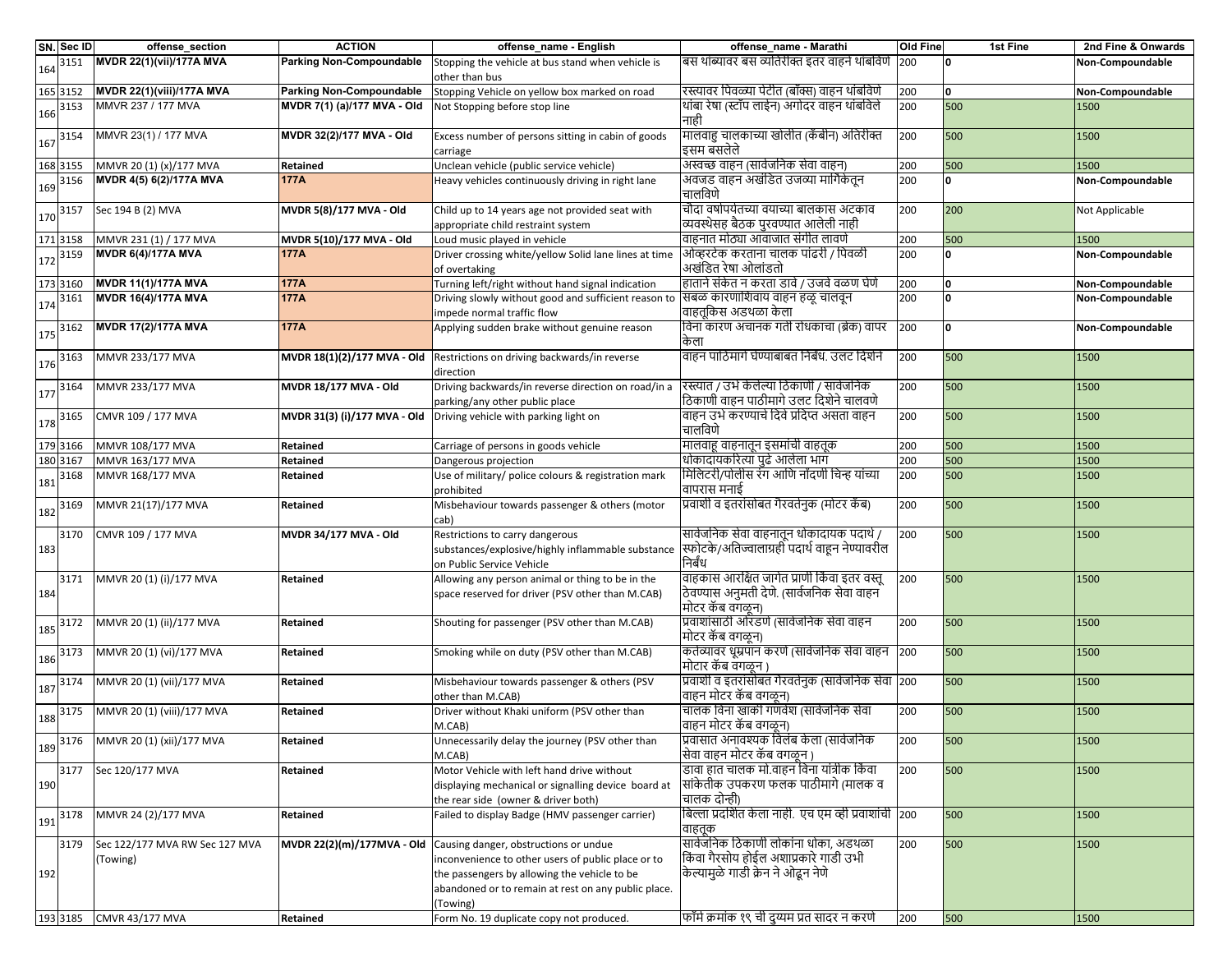|     | SN. Sec ID | offense_section                            | <b>ACTION</b>                   | offense_name - English                                                                                                                                                                                                                           | offense_name - Marathi                                                                                              | <b>Old Fine</b> | 1st Fine | 2nd Fine & Onwards |
|-----|------------|--------------------------------------------|---------------------------------|--------------------------------------------------------------------------------------------------------------------------------------------------------------------------------------------------------------------------------------------------|---------------------------------------------------------------------------------------------------------------------|-----------------|----------|--------------------|
| 164 | 3151       | MVDR 22(1)(vii)/177A MVA                   | <b>Parking Non-Compoundable</b> | Stopping the vehicle at bus stand when vehicle is<br>other than bus                                                                                                                                                                              | बिस थांब्यावर बस व्यतिरीक्त इतर वाहने थांबविणे                                                                      | 200             | O        | Non-Compoundable   |
|     | 165 3152   | <b>MVDR 22(1)(viii)/177A MVA</b>           | Parking Non-Compoundable        | Stopping Vehicle on yellow box marked on road                                                                                                                                                                                                    | रिस्त्यावर पिवळ्या पेटीत (बॉक्स) वाहन थांबविणे                                                                      | 200             | O        | Non-Compoundable   |
| 166 | 3153       | MMVR 237 / 177 MVA                         | MVDR 7(1) (a)/177 MVA - Old     | Not Stopping before stop line                                                                                                                                                                                                                    | थांबा रेषा (स्टॉप लाईन) अंगोदर वाहन थांबविले<br>नाही                                                                | 200             | 500      | 1500               |
| 167 | 3154       | MMVR 23(1) / 177 MVA                       | MVDR 32(2)/177 MVA - Old        | Excess number of persons sitting in cabin of goods<br>carriage                                                                                                                                                                                   | मालवाहु चालकाच्या खोलीत (कॅंबीन) अतिरीक्त<br>इसम बसलेले                                                             | 200             | 500      | 1500               |
|     | 168 3155   | MMVR 20 (1) (x)/177 MVA                    | Retained                        | Unclean vehicle (public service vehicle)                                                                                                                                                                                                         | अस्वच्छ वाहन (सार्वजनिक सेवा वाहन)                                                                                  | 200             | 500      | 1500               |
| 169 | 3156       | MVDR 4(5) 6(2)/177A MVA                    | <b>177A</b>                     | Heavy vehicles continuously driving in right lane                                                                                                                                                                                                | अवजड वाहन अखंडित उजव्या मार्गिकेतून<br>चालविणे                                                                      | 200             | 0        | Non-Compoundable   |
| 170 | 3157       | Sec 194 B (2) MVA                          | MVDR 5(8)/177 MVA - Old         | Child up to 14 years age not provided seat with<br>appropriate child restraint system                                                                                                                                                            | चौदा वर्षापर्यतच्या वयाच्या बालकास अटकाव<br>व्यवस्थेसह बैठक पुरवण्यात आलेली नाही                                    | 200             | 200      | Not Applicable     |
|     | 171 3158   | MMVR 231 (1) / 177 MVA                     | MVDR 5(10)/177 MVA - Old        | Loud music played in vehicle                                                                                                                                                                                                                     | वाहनात मोठ्या आवाजात संगीत लावणे                                                                                    | 200             | 500      | 1500               |
| 172 | 3159       | <b>MVDR 6(4)/177A MVA</b>                  | 177A                            | Driver crossing white/yellow Solid lane lines at time<br>of overtaking                                                                                                                                                                           | ओव्हरटेक करताना चालक पांढरी / पिवळी<br>अखंडित रेषा ओलांडतो                                                          | 200             | O        | Non-Compoundable   |
|     | 173 3160   | <b>MVDR 11(1)/177A MVA</b>                 | 177A                            | Turning left/right without hand signal indication                                                                                                                                                                                                | हाताने संकेत न करता डावे / उजवे वळण घेणे                                                                            | 200             | 0        | Non-Compoundable   |
|     | 3161       | <b>MVDR 16(4)/177A MVA</b>                 | <b>177A</b>                     | Driving slowly without good and sufficient reason to                                                                                                                                                                                             | सिबळ कारणाशिवाय वाहन हळू चालवून                                                                                     | 200             | ٥        | Non-Compoundable   |
| 174 |            |                                            |                                 | impede normal traffic flow                                                                                                                                                                                                                       | वाहतूकिस अडथळा केला                                                                                                 |                 |          |                    |
| 175 | 3162       | <b>MVDR 17(2)/177A MVA</b>                 | <b>177A</b>                     | Applying sudden brake without genuine reason                                                                                                                                                                                                     | विना कारण अचानक गती रोधकाचा (ब्रेक) वापर<br>केला                                                                    | 200             | O        | Non-Compoundable   |
| 176 | 3163       | MMVR 233/177 MVA                           | MVDR 18(1)(2)/177 MVA - Old     | Restrictions on driving backwards/in reverse<br>direction                                                                                                                                                                                        | वाहन पाठिमागे घेण्याबाबत निर्बंध. उलट दिशेने                                                                        | 200             | 500      | 1500               |
| 177 | 3164       | MMVR 233/177 MVA                           | MVDR 18/177 MVA - Old           | Driving backwards/in reverse direction on road/in a<br>parking/any other public place                                                                                                                                                            | रिस्त्यात / उभे केलेल्या ठिकाणी / सार्वजनिक<br>ठिकाणी वाहन पाठीमागे उलट दिशेने चालवणे                               | 200             | 500      | 1500               |
| 178 | 3165       | CMVR 109 / 177 MVA                         | MVDR 31(3) (i)/177 MVA - Old    | Driving vehicle with parking light on                                                                                                                                                                                                            | वाहन उभे करण्याचे दिवे प्रदिप्त असता वाहन<br>चालविणे                                                                | 200             | 500      | 1500               |
|     | 179 3166   | MMVR 108/177 MVA                           | Retained                        | Carriage of persons in goods vehicle                                                                                                                                                                                                             | मालवाहू वाहनातून इसमांची वाहतूक                                                                                     | 200             | 500      | 1500               |
|     | 180 3167   | MMVR 163/177 MVA                           | Retained                        | Dangerous projection                                                                                                                                                                                                                             | धोकादायकरित्या पुढे आलेला भाग                                                                                       | 200             | 500      | 1500               |
| 181 | 3168       | MMVR 168/177 MVA                           | Retained                        | Use of military/ police colours & registration mark                                                                                                                                                                                              | मिलिटरी/पोलीस रंग आणि नोंदणी चिन्ह यांच्या                                                                          | 200             | 500      | 1500               |
|     |            |                                            |                                 | prohibited                                                                                                                                                                                                                                       | वापरास मनाई                                                                                                         |                 |          |                    |
| 182 | 3169       | MMVR 21(17)/177 MVA                        | Retained                        | Misbehaviour towards passenger & others (motor<br>cab)                                                                                                                                                                                           | प्रवाशी व इतरांसोबत गैरवर्तनुक (मोटर कॅब)                                                                           | 200             | 500      | 1500               |
| 183 | 3170       | CMVR 109 / 177 MVA                         | MVDR 34/177 MVA - Old           | Restrictions to carry dangerous<br>substances/explosive/highly inflammable substance<br>on Public Service Vehicle                                                                                                                                | सार्वजनिक सेवा वाहनातून धोकादायक पदार्थ /<br>स्फोटके/अतिज्वालाग्रही पदार्थ वाहून नेण्यावरील<br>निर्बंध              | 200             | 500      | 1500               |
| 184 | 3171       | MMVR 20 (1) (i)/177 MVA                    | Retained                        | Allowing any person animal or thing to be in the<br>space reserved for driver (PSV other than M.CAB)                                                                                                                                             | वाहकास आरक्षित जागेत प्राणी किंवा इतर वस्तू<br>ठेवण्यास अनुमती देणे. (सार्वजनिक सेवा वाहन<br>मोटर कॅब वगळून)        | 200             | 500      | 1500               |
| 185 | 3172       | MMVR 20 (1) (ii)/177 MVA                   | Retained                        | Shouting for passenger (PSV other than M.CAB)                                                                                                                                                                                                    | प्रिवाशांसाठी ओरडणे (सार्वजनिक सेवा वाहन<br>मोटर कॅब वगळून)                                                         | 200             | 500      | 1500               |
| 186 | 3173       | MMVR 20 (1) (vi)/177 MVA                   | Retained                        | Smoking while on duty (PSV other than M.CAB)                                                                                                                                                                                                     | कर्तव्यावर धूम्रपान करणे (सार्वजनिक सेवा वाहन  200<br>मोटार कॅब वगळून)                                              |                 | 500      | 1500               |
| 187 | 3174       | MMVR 20 (1) (vii)/177 MVA                  | Retained                        | Misbehaviour towards passenger & others (PSV<br>other than M.CAB)                                                                                                                                                                                | प्रवाशी व इतरांसोबत गैरवर्तनुक (सार्वजनिक सेवा 200<br>वाहन मोटर कॅब वगळून)                                          |                 | 500      | 1500               |
| 188 | 3175       | MMVR 20 (1) (viii)/177 MVA                 | Retained                        | Driver without Khaki uniform (PSV other than<br>M.CAB)                                                                                                                                                                                           | चालक विना खाकी गणवेश (सार्वजनिक सेवा<br>वाहन मोटर कॅब वगळून)                                                        | 200             | 500      | 1500               |
| 189 | 3176       | [MMVR 20 (1) (xii)/177 MVA                 | Retained                        | Unnecessarily delay the journey (PSV other than<br>M.CAB)                                                                                                                                                                                        | प्रिवासात अनावश्यक विलंब केला (सार्वजनिक<br>सिवा वाहन मोटर कॅब वगळून )                                              | 200             | 500      | 1500               |
| 190 | 3177       | Sec 120/177 MVA                            | Retained                        | Motor Vehicle with left hand drive without<br>displaying mechanical or signalling device board at<br>the rear side (owner & driver both)                                                                                                         | डावा हात चालक मो.वाहन विना यांत्रीक किंवा<br>सांकेतीक उपकरण फलक पाठीमागे (मालक व<br>चालक दोन्ही)                    | 200             | 500      | 1500               |
| 191 | 3178       | MMVR 24 (2)/177 MVA                        | Retained                        | Failed to display Badge (HMV passenger carrier)                                                                                                                                                                                                  | बिल्ला प्रदर्शित केला नाही. एच एम व्ही प्रवाशांची  200<br>वाहतक                                                     |                 | 500      | 1500               |
| 192 | 3179       | Sec 122/177 MVA RW Sec 127 MVA<br>(Towing) |                                 | <b>MVDR 22(2)(m)/177MVA - Old</b> Causing danger, obstructions or undue<br>inconvenience to other users of public place or to<br>the passengers by allowing the vehicle to be<br>abandoned or to remain at rest on any public place.<br>(Towing) | सार्वजनिक ठिकाणी लोकांना धोका, अडथळा<br>किंवा गैरसोय होईल अशाप्रकारे गाडी उभी<br>किल्यामुळे गाडी क्रेन ने ओढून नेणे | 200             | 500      | 1500               |
|     | 193 3185   | <b>CMVR 43/177 MVA</b>                     | Retained                        | Form No. 19 duplicate copy not produced.                                                                                                                                                                                                         | फॉर्म क्रमांक १९ ची दुय्यम प्रत सादर न करणे                                                                         | 200             | 500      | 1500               |